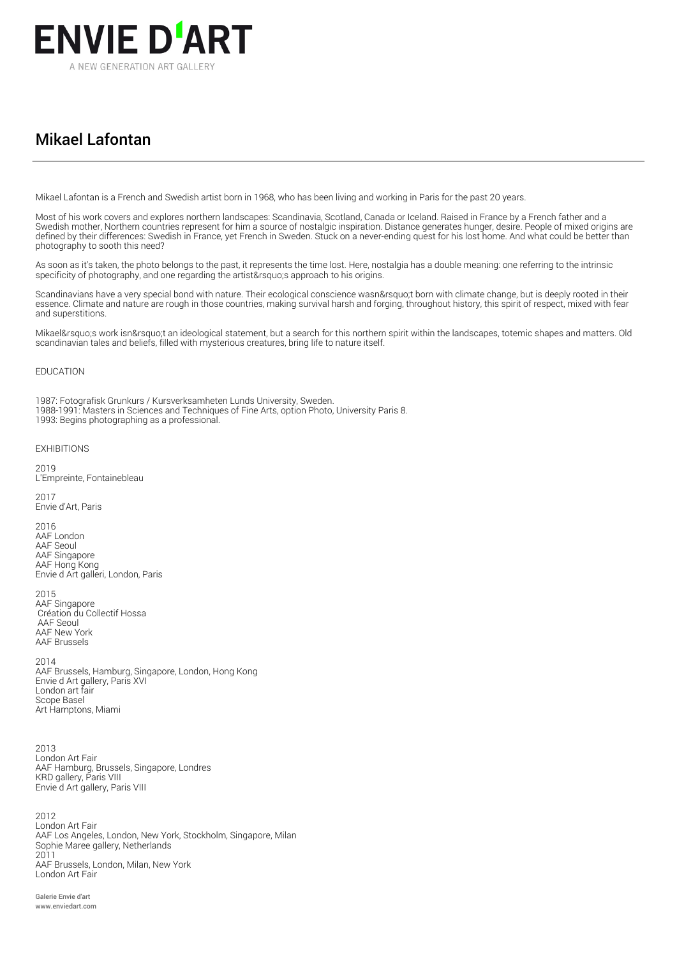

## Mikael Lafontan

Mikael Lafontan is a French and Swedish artist born in 1968, who has been living and working in Paris for the past 20 years.

Most of his work covers and explores northern landscapes: Scandinavia, Scotland, Canada or Iceland. Raised in France by a French father and a Swedish mother, Northern countries represent for him a source of nostalgic inspiration. Distance generates hunger, desire. People of mixed origins are defined by their differences: Swedish in France, yet French in Sweden. Stuck on a never-ending quest for his lost home. And what could be better than photography to sooth this need?

As soon as it's taken, the photo belongs to the past, it represents the time lost. Here, nostalgia has a double meaning: one referring to the intrinsic specificity of photography, and one regarding the artist arguments approach to his origins.

Scandinavians have a very special bond with nature. Their ecological conscience wasn't born with climate change, but is deeply rooted in their essence. Climate and nature are rough in those countries, making survival harsh and forging, throughout history, this spirit of respect, mixed with fear and superstitions.

Mikael's work isn't an ideological statement, but a search for this northern spirit within the landscapes, totemic shapes and matters. Old scandinavian tales and beliefs, filled with mysterious creatures, bring life to nature itself.

## EDUCATION

1987: Fotografisk Grunkurs / Kursverksamheten Lunds University, Sweden.

1988-1991: Masters in Sciences and Techniques of Fine Arts, option Photo, University Paris 8.

1993: Begins photographing as a professional.

## EXHIBITIONS

2019 L'Empreinte, Fontainebleau

2017 Envie d'Art, Paris

2016 AAF London AAF Seoul AAF Singapore AAF Hong Kong Envie d Art galleri, London, Paris

2015 AAF Singapore Création du Collectif Hossa AAF Seoul AAF New York AAF Brussels

2014 AAF Brussels, Hamburg, Singapore, London, Hong Kong Envie d Art gallery, Paris XVI London art fair Scope Basel Art Hamptons, Miami

2013 London Art Fair AAF Hamburg, Brussels, Singapore, Londres KRD gallery, Paris VIII Envie d Art gallery, Paris VIII

2012 London Art Fair AAF Los Angeles, London, New York, Stockholm, Singapore, Milan Sophie Maree gallery, Netherlands 2011 AAF Brussels, London, Milan, New York London Art Fair

Galerie Envie d'art www.enviedart.com